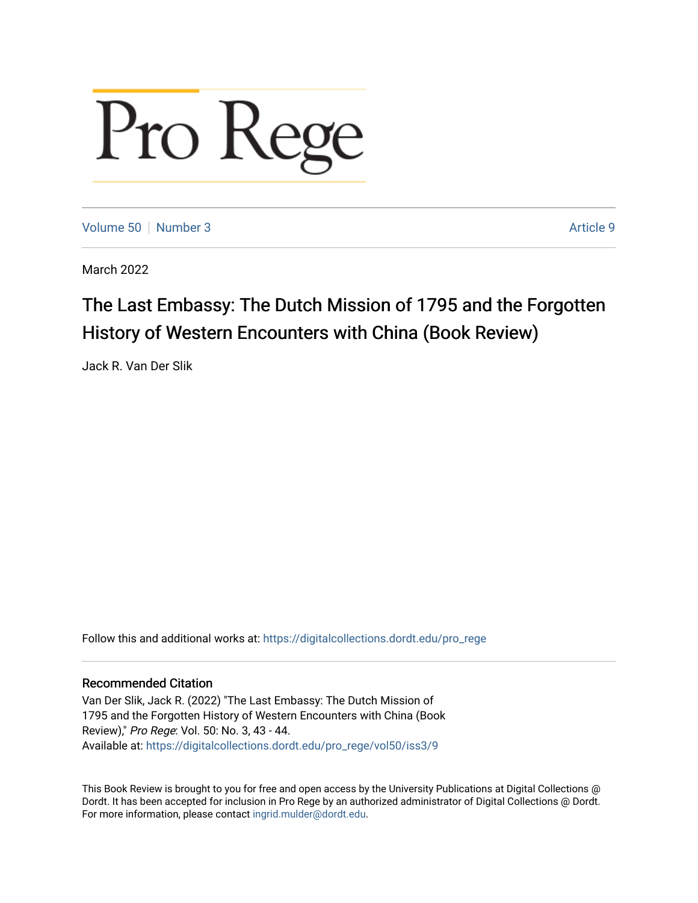## Pro Rege

[Volume 50](https://digitalcollections.dordt.edu/pro_rege/vol50) [Number 3](https://digitalcollections.dordt.edu/pro_rege/vol50/iss3) Article 9

March 2022

## The Last Embassy: The Dutch Mission of 1795 and the Forgotten History of Western Encounters with China (Book Review)

Jack R. Van Der Slik

Follow this and additional works at: [https://digitalcollections.dordt.edu/pro\\_rege](https://digitalcollections.dordt.edu/pro_rege?utm_source=digitalcollections.dordt.edu%2Fpro_rege%2Fvol50%2Fiss3%2F9&utm_medium=PDF&utm_campaign=PDFCoverPages) 

## Recommended Citation

Van Der Slik, Jack R. (2022) "The Last Embassy: The Dutch Mission of 1795 and the Forgotten History of Western Encounters with China (Book Review)," Pro Rege: Vol. 50: No. 3, 43 - 44. Available at: [https://digitalcollections.dordt.edu/pro\\_rege/vol50/iss3/9](https://digitalcollections.dordt.edu/pro_rege/vol50/iss3/9?utm_source=digitalcollections.dordt.edu%2Fpro_rege%2Fvol50%2Fiss3%2F9&utm_medium=PDF&utm_campaign=PDFCoverPages) 

This Book Review is brought to you for free and open access by the University Publications at Digital Collections @ Dordt. It has been accepted for inclusion in Pro Rege by an authorized administrator of Digital Collections @ Dordt. For more information, please contact [ingrid.mulder@dordt.edu](mailto:ingrid.mulder@dordt.edu).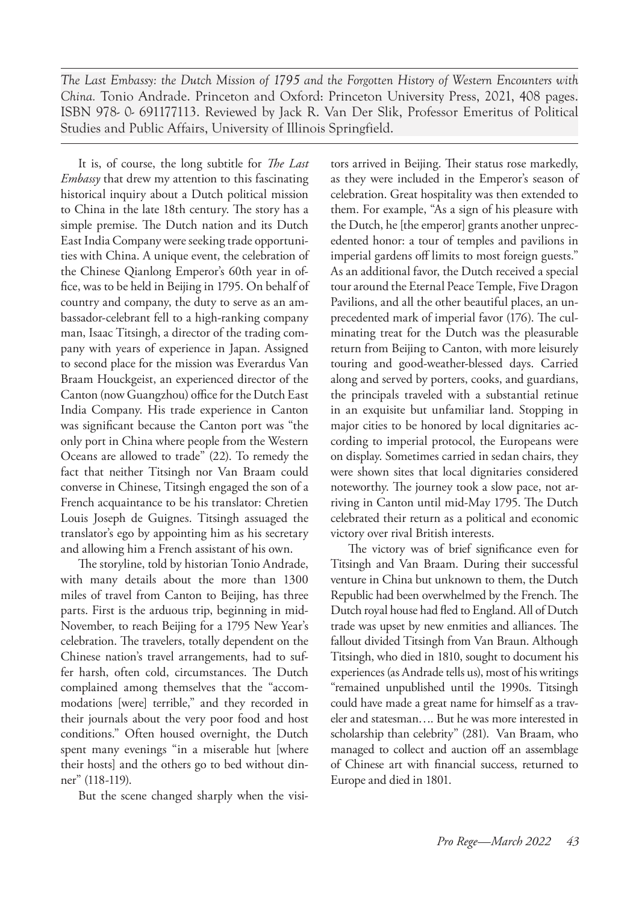*The Last Embassy: the Dutch Mission of 1795 and the Forgotten History of Western Encounters with China.* Tonio Andrade. Princeton and Oxford: Princeton University Press, 2021, 408 pages. ISBN 978- 0- 691177113. Reviewed by Jack R. Van Der Slik, Professor Emeritus of Political Studies and Public Affairs, University of Illinois Springfield.

It is, of course, the long subtitle for *The Last Embassy* that drew my attention to this fascinating historical inquiry about a Dutch political mission to China in the late 18th century. The story has a simple premise. The Dutch nation and its Dutch East India Company were seeking trade opportunities with China. A unique event, the celebration of the Chinese Qianlong Emperor's 60th year in office, was to be held in Beijing in 1795. On behalf of country and company, the duty to serve as an ambassador-celebrant fell to a high-ranking company man, Isaac Titsingh, a director of the trading company with years of experience in Japan. Assigned to second place for the mission was Everardus Van Braam Houckgeist, an experienced director of the Canton (now Guangzhou) office for the Dutch East India Company. His trade experience in Canton was significant because the Canton port was "the only port in China where people from the Western Oceans are allowed to trade" (22). To remedy the fact that neither Titsingh nor Van Braam could converse in Chinese, Titsingh engaged the son of a French acquaintance to be his translator: Chretien Louis Joseph de Guignes. Titsingh assuaged the translator's ego by appointing him as his secretary and allowing him a French assistant of his own.

The storyline, told by historian Tonio Andrade, with many details about the more than 1300 miles of travel from Canton to Beijing, has three parts. First is the arduous trip, beginning in mid-November, to reach Beijing for a 1795 New Year's celebration. The travelers, totally dependent on the Chinese nation's travel arrangements, had to suffer harsh, often cold, circumstances. The Dutch complained among themselves that the "accommodations [were] terrible," and they recorded in their journals about the very poor food and host conditions." Often housed overnight, the Dutch spent many evenings "in a miserable hut [where their hosts] and the others go to bed without dinner" (118-119).

But the scene changed sharply when the visi-

tors arrived in Beijing. Their status rose markedly, as they were included in the Emperor's season of celebration. Great hospitality was then extended to them. For example, "As a sign of his pleasure with the Dutch, he [the emperor] grants another unprecedented honor: a tour of temples and pavilions in imperial gardens off limits to most foreign guests." As an additional favor, the Dutch received a special tour around the Eternal Peace Temple, Five Dragon Pavilions, and all the other beautiful places, an unprecedented mark of imperial favor (176). The culminating treat for the Dutch was the pleasurable return from Beijing to Canton, with more leisurely touring and good-weather-blessed days. Carried along and served by porters, cooks, and guardians, the principals traveled with a substantial retinue in an exquisite but unfamiliar land. Stopping in major cities to be honored by local dignitaries according to imperial protocol, the Europeans were on display. Sometimes carried in sedan chairs, they were shown sites that local dignitaries considered noteworthy. The journey took a slow pace, not arriving in Canton until mid-May 1795. The Dutch celebrated their return as a political and economic victory over rival British interests.

The victory was of brief significance even for Titsingh and Van Braam. During their successful venture in China but unknown to them, the Dutch Republic had been overwhelmed by the French. The Dutch royal house had fled to England. All of Dutch trade was upset by new enmities and alliances. The fallout divided Titsingh from Van Braun. Although Titsingh, who died in 1810, sought to document his experiences (as Andrade tells us), most of his writings "remained unpublished until the 1990s. Titsingh could have made a great name for himself as a traveler and statesman…. But he was more interested in scholarship than celebrity" (281). Van Braam, who managed to collect and auction off an assemblage of Chinese art with financial success, returned to Europe and died in 1801.